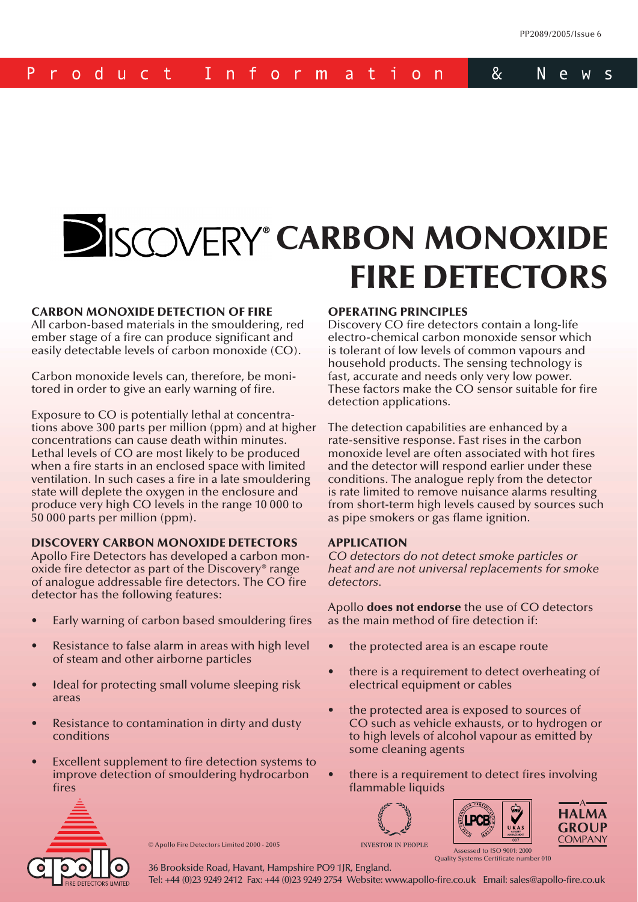#### P  $8<sub>c</sub>$  $I$  n −f N e - d u c t t -Ť  $\mathsf{S}$  $\mathsf{r}$  $\Omega$  $0<sup>1</sup>$  $m$ a  $\Omega$ n n W

# **CARBON MONOXIDE FIRE DETECTORS**

#### **CARBON MONOXIDE DETECTION OF FIRE**

All carbon-based materials in the smouldering, red ember stage of a fire can produce significant and easily detectable levels of carbon monoxide (CO).

Carbon monoxide levels can, therefore, be monitored in order to give an early warning of fire.

Exposure to CO is potentially lethal at concentrations above 300 parts per million (ppm) and at higher concentrations can cause death within minutes. Lethal levels of CO are most likely to be produced when a fire starts in an enclosed space with limited ventilation. In such cases a fire in a late smouldering state will deplete the oxygen in the enclosure and produce very high CO levels in the range 10 000 to 50 000 parts per million (ppm).

#### **DISCOVERY CARBON MONOXIDE DETECTORS**

Apollo Fire Detectors has developed a carbon monoxide fire detector as part of the Discovery<sup>®</sup> range of analogue addressable fire detectors. The CO fire detector has the following features:

- Early warning of carbon based smouldering fires
- Resistance to false alarm in areas with high level of steam and other airborne particles
- Ideal for protecting small volume sleeping risk areas
- Resistance to contamination in dirty and dusty conditions
- Excellent supplement to fire detection systems to improve detection of smouldering hydrocarbon fires

#### **OPERATING PRINCIPLES**

Discovery CO fire detectors contain a long-life electro-chemical carbon monoxide sensor which is tolerant of low levels of common vapours and household products. The sensing technology is fast, accurate and needs only very low power. These factors make the CO sensor suitable for fire detection applications.

The detection capabilities are enhanced by a rate-sensitive response. Fast rises in the carbon monoxide level are often associated with hot fires and the detector will respond earlier under these conditions. The analogue reply from the detector is rate limited to remove nuisance alarms resulting from short-term high levels caused by sources such as pipe smokers or gas flame ignition.

#### **APPLICATION**

*CO detectors do not detect smoke particles or heat and are not universal replacements for smoke detectors.*

Apollo **does not endorse** the use of CO detectors as the main method of fire detection if:

- the protected area is an escape route
- there is a requirement to detect overheating of electrical equipment or cables
- the protected area is exposed to sources of CO such as vehicle exhausts, or to hydrogen or to high levels of alcohol vapour as emitted by some cleaning agents
- there is a requirement to detect fires involving flammable liquids









© Apollo Fire Detectors Limited 2000 - 2005

Assessed to ISO 9001: 2000 Ouality Systems Certificate number 010

36 Brookside Road, Havant, Hampshire PO9 1JR, England.

Tel: +44 (0)23 9249 2412 Fax: +44 (0)23 9249 2754 Website: www.apollo-fire.co.uk Email: sales@apollo-fire.co.uk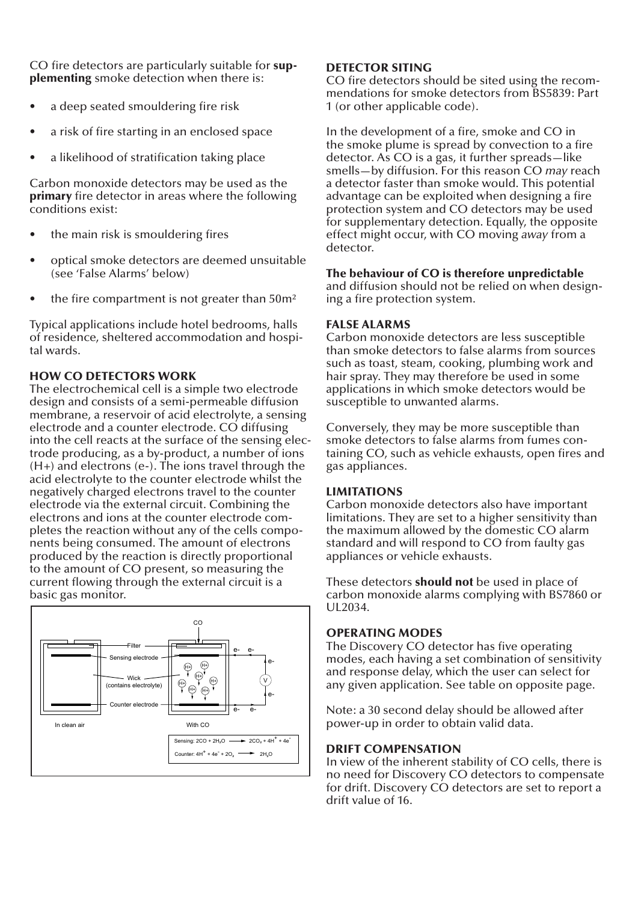CO fire detectors are particularly suitable for sup**plementing** smoke detection when there is:

- a deep seated smouldering fire risk
- a risk of fire starting in an enclosed space
- a likelihood of stratification taking place

Carbon monoxide detectors may be used as the **primary** fire detector in areas where the following conditions exist:

- the main risk is smouldering fires
- optical smoke detectors are deemed unsuitable (see 'False Alarms' below)
- the fire compartment is not greater than  $50m<sup>2</sup>$

Typical applications include hotel bedrooms, halls of residence, sheltered accommodation and hospital wards.

### **HOW CO DETECTORS WORK**

The electrochemical cell is a simple two electrode design and consists of a semi-permeable diffusion membrane, a reservoir of acid electrolyte, a sensing electrode and a counter electrode. CO diffusing into the cell reacts at the surface of the sensing electrode producing, as a by-product, a number of ions (H+) and electrons (e-). The ions travel through the acid electrolyte to the counter electrode whilst the negatively charged electrons travel to the counter electrode via the external circuit. Combining the electrons and ions at the counter electrode completes the reaction without any of the cells components being consumed. The amount of electrons produced by the reaction is directly proportional to the amount of CO present, so measuring the current flowing through the external circuit is a basic gas monitor.



#### **DETECTOR SITING**

CO fire detectors should be sited using the recommendations for smoke detectors from BS5839: Part 1 (or other applicable code).

In the development of a fire, smoke and CO in the smoke plume is spread by convection to a fire detector. As CO is a gas, it further spreads—like smells—by diffusion. For this reason CO *may* reach a detector faster than smoke would. This potential advantage can be exploited when designing a fire protection system and CO detectors may be used for supplementary detection. Equally, the opposite effect might occur, with CO moving *away* from a detector.

#### **The behaviour of CO is therefore unpredictable**

and diffusion should not be relied on when designing a fire protection system.

#### **FALSE ALARMS**

Carbon monoxide detectors are less susceptible than smoke detectors to false alarms from sources such as toast, steam, cooking, plumbing work and hair spray. They may therefore be used in some applications in which smoke detectors would be susceptible to unwanted alarms.

Conversely, they may be more susceptible than smoke detectors to false alarms from fumes containing CO, such as vehicle exhausts, open fires and gas appliances.

#### **LIMITATIONS**

Carbon monoxide detectors also have important limitations. They are set to a higher sensitivity than the maximum allowed by the domestic CO alarm standard and will respond to CO from faulty gas appliances or vehicle exhausts.

These detectors **should not** be used in place of carbon monoxide alarms complying with BS7860 or UL2034.

#### **OPERATING MODES**

The Discovery CO detector has five operating modes, each having a set combination of sensitivity and response delay, which the user can select for any given application. See table on opposite page.

Note: a 30 second delay should be allowed after power-up in order to obtain valid data.

#### **DRIFT COMPENSATION**

In view of the inherent stability of CO cells, there is no need for Discovery CO detectors to compensate for drift. Discovery CO detectors are set to report a drift value of 16.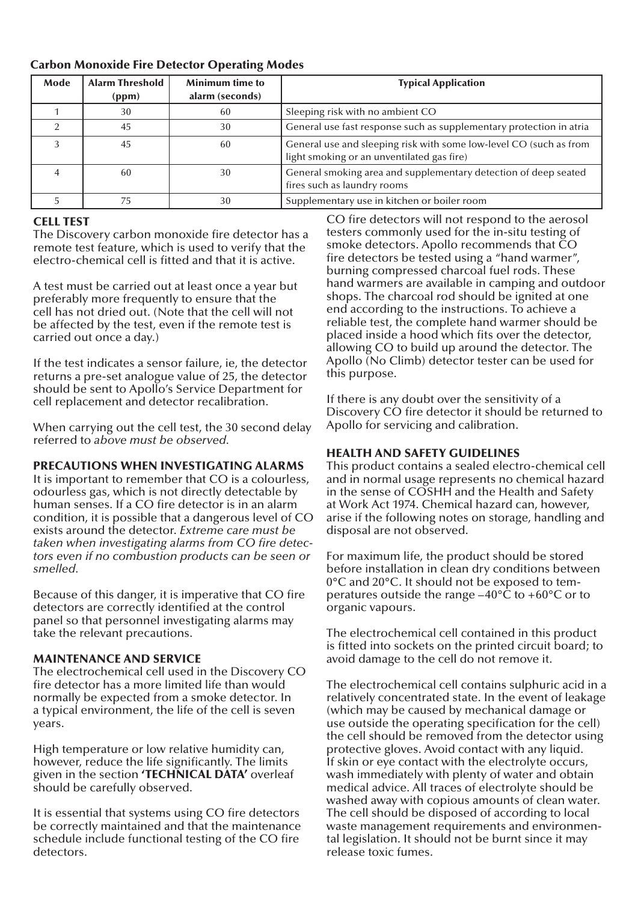#### **Carbon Monoxide Fire Detector Operating Modes**

| Mode | <b>Alarm Threshold</b><br>(ppm) | <b>Minimum time to</b><br>alarm (seconds) | <b>Typical Application</b>                                                                                       |
|------|---------------------------------|-------------------------------------------|------------------------------------------------------------------------------------------------------------------|
|      | 30                              | 60                                        | Sleeping risk with no ambient CO                                                                                 |
|      | 45                              | 30                                        | General use fast response such as supplementary protection in atria                                              |
|      | 45                              | 60                                        | General use and sleeping risk with some low-level CO (such as from<br>light smoking or an unventilated gas fire) |
|      | 60                              | 30                                        | General smoking area and supplementary detection of deep seated<br>fires such as laundry rooms                   |
|      | 75                              | 30                                        | Supplementary use in kitchen or boiler room                                                                      |

#### **CELL TEST**

The Discovery carbon monoxide fire detector has a remote test feature, which is used to verify that the electro-chemical cell is fitted and that it is active.

A test must be carried out at least once a year but preferably more frequently to ensure that the cell has not dried out. (Note that the cell will not be affected by the test, even if the remote test is carried out once a day.)

If the test indicates a sensor failure, ie, the detector returns a pre-set analogue value of 25, the detector should be sent to Apollo's Service Department for cell replacement and detector recalibration.

When carrying out the cell test, the 30 second delay referred to *above must be observed.*

#### **PRECAUTIONS WHEN INVESTIGATING ALARMS**

It is important to remember that CO is a colourless, odourless gas, which is not directly detectable by human senses. If a CO fire detector is in an alarm condition, it is possible that a dangerous level of CO exists around the detector. *Extreme care must be*  taken when investigating alarms from CO fire detec*tors even if no combustion products can be seen or smelled.*

Because of this danger, it is imperative that CO fire detectors are correctly identified at the control panel so that personnel investigating alarms may take the relevant precautions.

#### **MAINTENANCE AND SERVICE**

The electrochemical cell used in the Discovery CO fire detector has a more limited life than would normally be expected from a smoke detector. In a typical environment, the life of the cell is seven years.

High temperature or low relative humidity can, however, reduce the life significantly. The limits given in the section **'TECHNICAL DATA'** overleaf should be carefully observed.

It is essential that systems using CO fire detectors be correctly maintained and that the maintenance schedule include functional testing of the CO fire detectors.

CO fire detectors will not respond to the aerosol testers commonly used for the in-situ testing of smoke detectors. Apollo recommends that CO fire detectors be tested using a "hand warmer", burning compressed charcoal fuel rods. These hand warmers are available in camping and outdoor shops. The charcoal rod should be ignited at one end according to the instructions. To achieve a reliable test, the complete hand warmer should be placed inside a hood which fits over the detector, allowing CO to build up around the detector. The Apollo (No Climb) detector tester can be used for this purpose.

If there is any doubt over the sensitivity of a Discovery CO fire detector it should be returned to Apollo for servicing and calibration.

#### **HEALTH AND SAFETY GUIDELINES**

This product contains a sealed electro-chemical cell and in normal usage represents no chemical hazard in the sense of COSHH and the Health and Safety at Work Act 1974. Chemical hazard can, however, arise if the following notes on storage, handling and disposal are not observed.

For maximum life, the product should be stored before installation in clean dry conditions between 0° C and 20°C. It should not be exposed to temperatures outside the range  $-40^{\circ}$ C to  $+60^{\circ}$ C or to organic vapours.

The electrochemical cell contained in this product is fitted into sockets on the printed circuit board; to avoid damage to the cell do not remove it.

The electrochemical cell contains sulphuric acid in a relatively concentrated state. In the event of leakage (which may be caused by mechanical damage or use outside the operating specification for the cell) the cell should be removed from the detector using protective gloves. Avoid contact with any liquid. If skin or eye contact with the electrolyte occurs, wash immediately with plenty of water and obtain medical advice. All traces of electrolyte should be washed away with copious amounts of clean water. The cell should be disposed of according to local waste management requirements and environmental legislation. It should not be burnt since it may release toxic fumes.